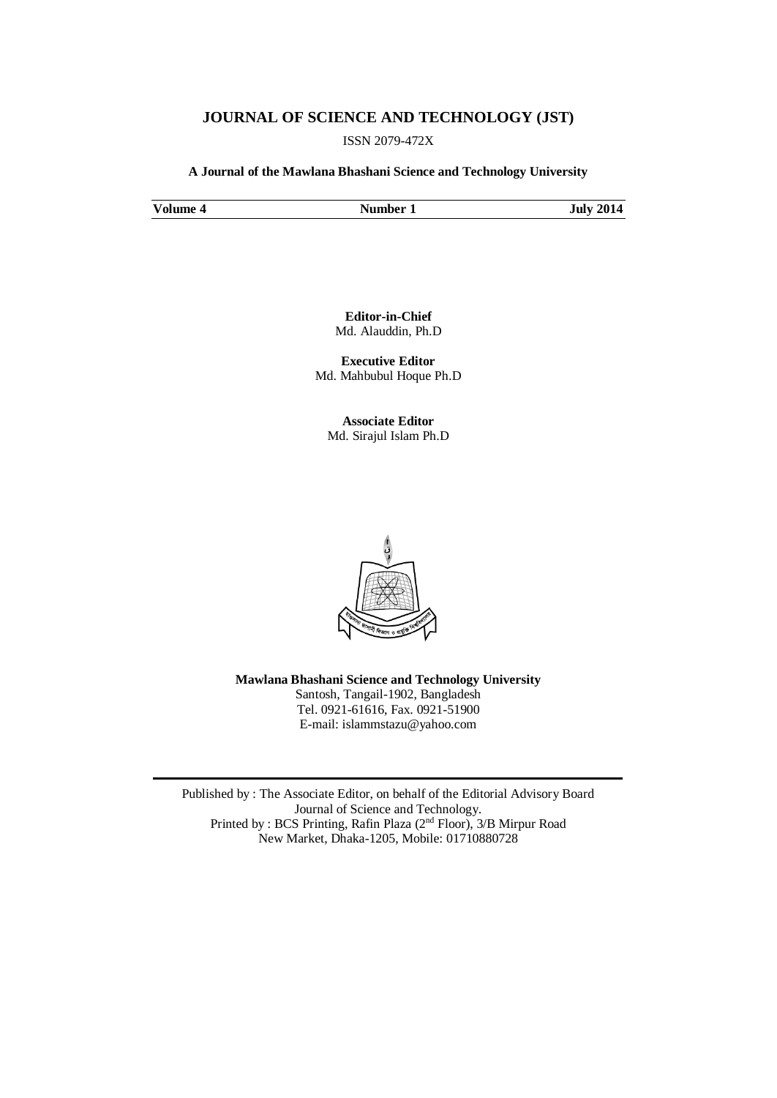## **JOURNAL OF SCIENCE AND TECHNOLOGY (JST)**

ISSN 2079-472X

**A Journal of the Mawlana Bhashani Science and Technology University**

**Volume 4 Number 1 July 2014**

**Editor-in-Chief** Md. Alauddin, Ph.D

**Executive Editor** Md. Mahbubul Hoque Ph.D

**Associate Editor** Md. Sirajul Islam Ph.D



**Mawlana Bhashani Science and Technology University** Santosh, Tangail-1902, Bangladesh Tel. 0921-61616, Fax. 0921-51900 E-mail: [islammstazu@yahoo.com](mailto:oshin1996@yahoo.com)

Published by : The Associate Editor, on behalf of the Editorial Advisory Board Journal of Science and Technology. Printed by : BCS Printing, Rafin Plaza (2nd Floor), 3/B Mirpur Road New Market, Dhaka-1205, Mobile: 01710880728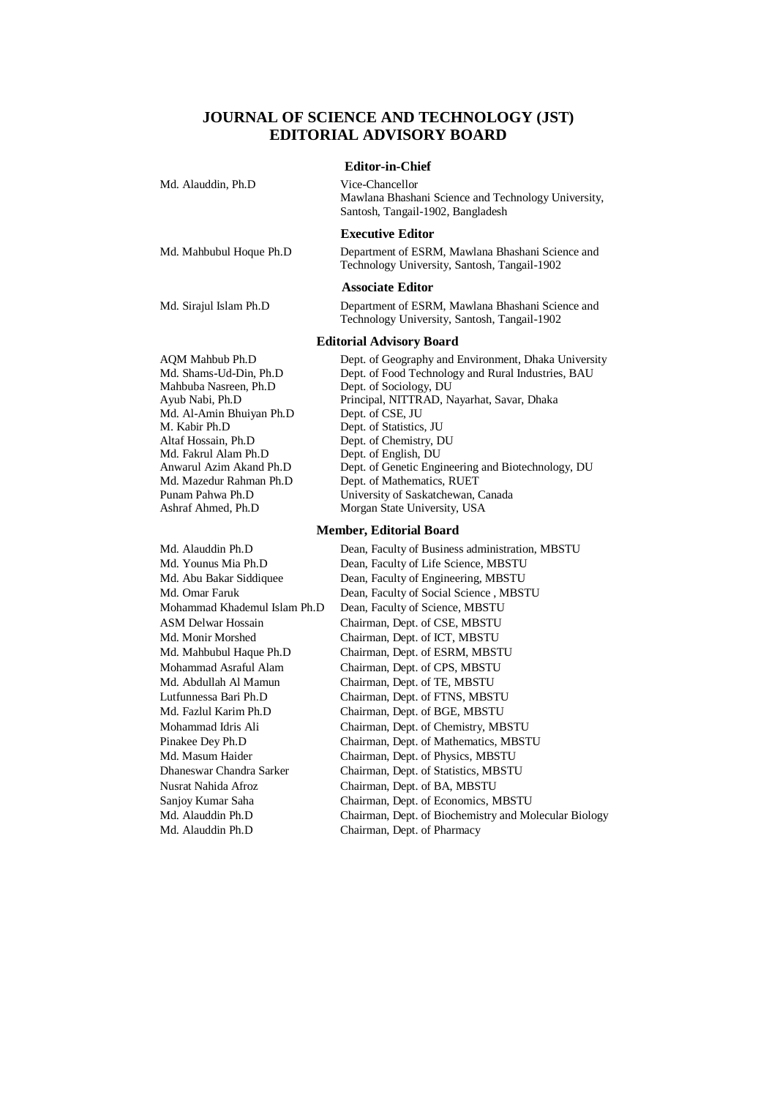# **JOURNAL OF SCIENCE AND TECHNOLOGY (JST) EDITORIAL ADVISORY BOARD**

#### **Editor-in-Chief**

| Md. Alauddin, Ph.D      | Vice-Chancellor<br>Mawlana Bhashani Science and Technology University,<br>Santosh, Tangail-1902, Bangladesh |
|-------------------------|-------------------------------------------------------------------------------------------------------------|
|                         | <b>Executive Editor</b>                                                                                     |
| Md. Mahbubul Hoque Ph.D | Department of ESRM, Mawlana Bhashani Science and<br>Technology University, Santosh, Tangail-1902            |

#### **Associate Editor**

Md. Sirajul Islam Ph.D Department of ESRM, Mawlana Bhashani Science and Technology University, Santosh, Tangail-1902

#### **Editorial Advisory Board**

Mahbuba Nasreen, Ph.D Dept. of Sociology, DU<br>
Avub Nabi. Ph.D Principal. NITTRAD. N Md. Al-Amin Bhuiyan Ph.D Dept. of CSE, JU M. Kabir Ph.D Dept. of Statistics, JU<br>
Altaf Hossain. Ph.D Dept. of Chemistry. D Md. Fakrul Alam Ph.D

Md. Alauddin Ph.D Chairman, Dept. of Pharmacy

AQM Mahbub Ph.D Dept. of Geography and Environment, Dhaka University Md. Shams-Ud-Din, Ph.D Dept. of Food Technology and Rural Industries, BAU Principal, NITTRAD, Nayarhat, Savar, Dhaka Dept. of Chemistry, DU<br>Dept. of English, DU Anwarul Azim Akand Ph.D Dept. of Genetic Engineering and Biotechnology, DU Md. Mazedur Rahman Ph.D Dept. of Mathematics, RUET Punam Pahwa Ph.D University of Saskatchewan, Canada Ashraf Ahmed, Ph.D Morgan State University, USA

#### **Member, Editorial Board**

Md. Alauddin Ph.D Dean, Faculty of Business administration, MBSTU Md. Younus Mia Ph.D Dean, Faculty of Life Science, MBSTU Md. Abu Bakar Siddiquee Dean, Faculty of Engineering, MBSTU Md. Omar Faruk Dean, Faculty of Social Science , MBSTU Mohammad Khademul Islam Ph.D Dean, Faculty of Science, MBSTU ASM Delwar Hossain Chairman, Dept. of CSE, MBSTU Md. Monir Morshed Chairman, Dept. of ICT, MBSTU Md. Mahbubul Haque Ph.D Chairman, Dept. of ESRM, MBSTU Mohammad Asraful Alam Chairman, Dept. of CPS, MBSTU Md. Abdullah Al Mamun Chairman, Dept. of TE, MBSTU Lutfunnessa Bari Ph.D Chairman, Dept. of FTNS, MBSTU Md. Fazlul Karim Ph.D Chairman, Dept. of BGE, MBSTU Mohammad Idris Ali Chairman, Dept. of Chemistry, MBSTU Pinakee Dey Ph.D Chairman, Dept. of Mathematics, MBSTU Md. Masum Haider Chairman, Dept. of Physics, MBSTU Dhaneswar Chandra Sarker Chairman, Dept. of Statistics, MBSTU Nusrat Nahida Afroz Chairman, Dept. of BA, MBSTU Sanjoy Kumar Saha Chairman, Dept. of Economics, MBSTU Md. Alauddin Ph.D Chairman, Dept. of Biochemistry and Molecular Biology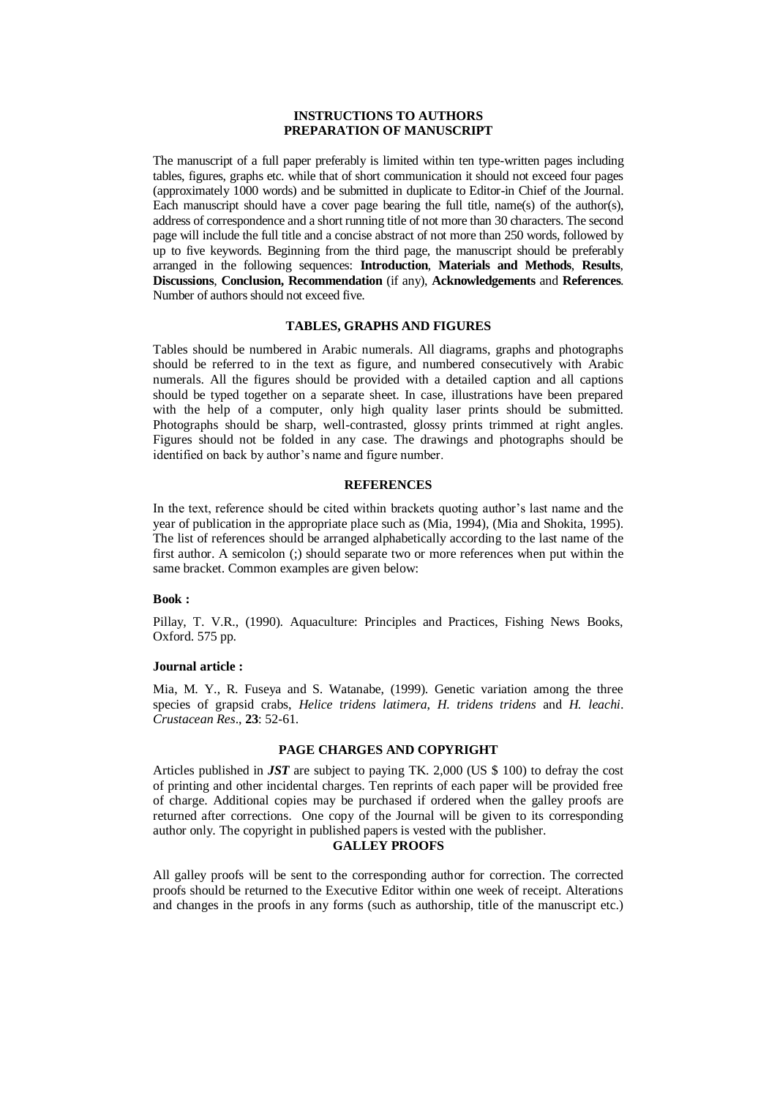## **INSTRUCTIONS TO AUTHORS PREPARATION OF MANUSCRIPT**

The manuscript of a full paper preferably is limited within ten type-written pages including tables, figures, graphs etc. while that of short communication it should not exceed four pages (approximately 1000 words) and be submitted in duplicate to Editor-in Chief of the Journal. Each manuscript should have a cover page bearing the full title, name(s) of the author(s), address of correspondence and a short running title of not more than 30 characters. The second page will include the full title and a concise abstract of not more than 250 words, followed by up to five keywords. Beginning from the third page, the manuscript should be preferably arranged in the following sequences: **Introduction**, **Materials and Methods**, **Results**, **Discussions**, **Conclusion, Recommendation** (if any), **Acknowledgements** and **References**. Number of authors should not exceed five.

### **TABLES, GRAPHS AND FIGURES**

Tables should be numbered in Arabic numerals. All diagrams, graphs and photographs should be referred to in the text as figure, and numbered consecutively with Arabic numerals. All the figures should be provided with a detailed caption and all captions should be typed together on a separate sheet. In case, illustrations have been prepared with the help of a computer, only high quality laser prints should be submitted. Photographs should be sharp, well-contrasted, glossy prints trimmed at right angles. Figures should not be folded in any case. The drawings and photographs should be identified on back by author's name and figure number.

## **REFERENCES**

In the text, reference should be cited within brackets quoting author's last name and the year of publication in the appropriate place such as (Mia, 1994), (Mia and Shokita, 1995). The list of references should be arranged alphabetically according to the last name of the first author. A semicolon (;) should separate two or more references when put within the same bracket. Common examples are given below:

#### **Book :**

Pillay, T. V.R., (1990). Aquaculture: Principles and Practices, Fishing News Books, Oxford. 575 pp.

#### **Journal article :**

Mia, M. Y., R. Fuseya and S. Watanabe, (1999). Genetic variation among the three species of grapsid crabs, *Helice tridens latimera*, *H. tridens tridens* and *H. leachi*. *Crustacean Res*., **23**: 52-61.

## **PAGE CHARGES AND COPYRIGHT**

Articles published in *JST* are subject to paying TK. 2,000 (US \$ 100) to defray the cost of printing and other incidental charges. Ten reprints of each paper will be provided free of charge. Additional copies may be purchased if ordered when the galley proofs are returned after corrections. One copy of the Journal will be given to its corresponding author only. The copyright in published papers is vested with the publisher.

#### **GALLEY PROOFS**

All galley proofs will be sent to the corresponding author for correction. The corrected proofs should be returned to the Executive Editor within one week of receipt. Alterations and changes in the proofs in any forms (such as authorship, title of the manuscript etc.)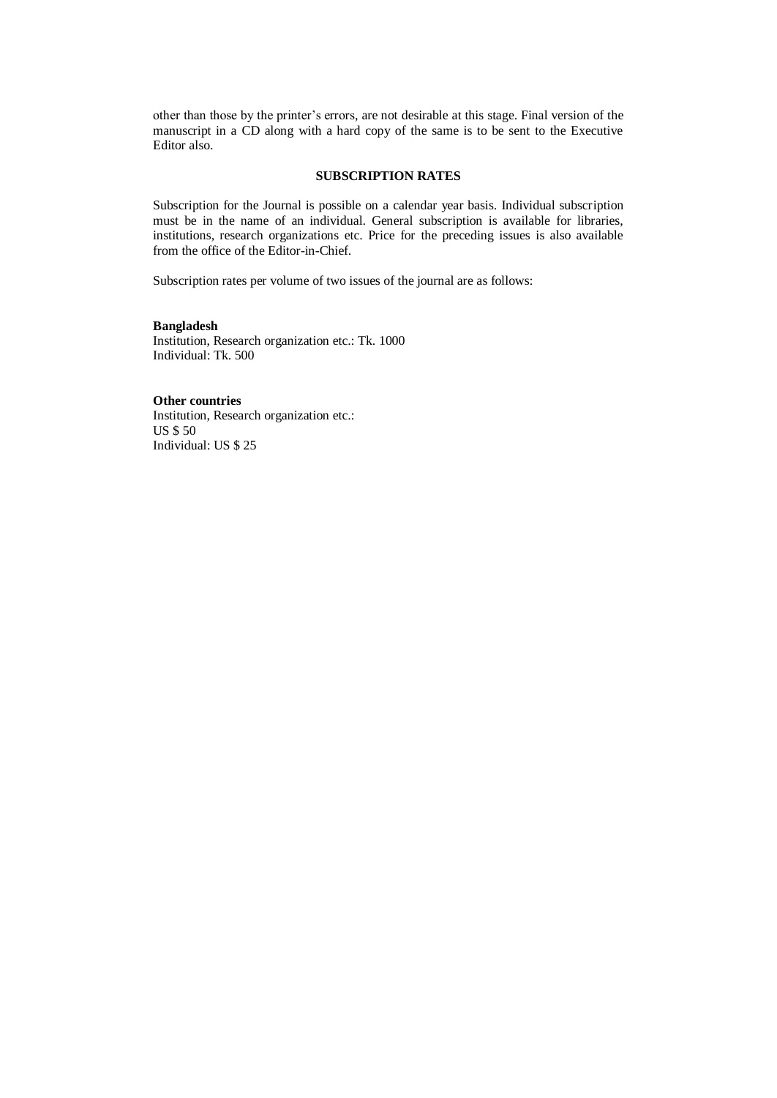other than those by the printer's errors, are not desirable at this stage. Final version of the manuscript in a CD along with a hard copy of the same is to be sent to the Executive Editor also.

## **SUBSCRIPTION RATES**

Subscription for the Journal is possible on a calendar year basis. Individual subscription must be in the name of an individual. General subscription is available for libraries, institutions, research organizations etc. Price for the preceding issues is also available from the office of the Editor-in-Chief.

Subscription rates per volume of two issues of the journal are as follows:

## **Bangladesh**

Institution, Research organization etc.: Tk. 1000 Individual: Tk. 500

## **Other countries**

Institution, Research organization etc.: US \$ 50 Individual: US \$ 25